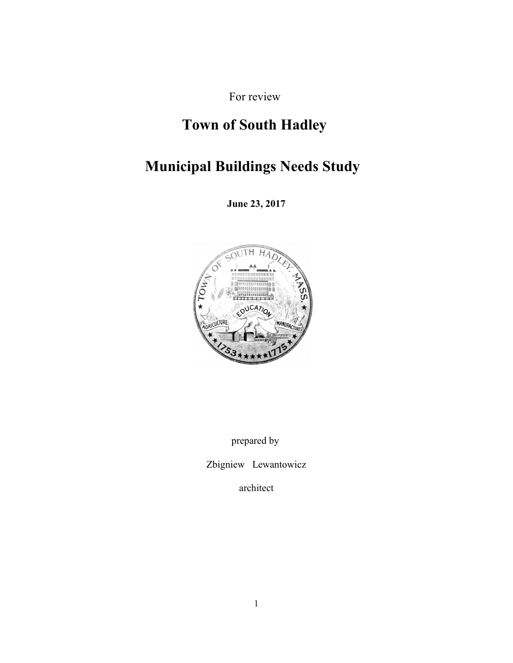For review

# **Town of South Hadley**

# **Municipal Buildings Needs Study**

**June 23, 2017**



prepared by

Zbigniew Lewantowicz

architect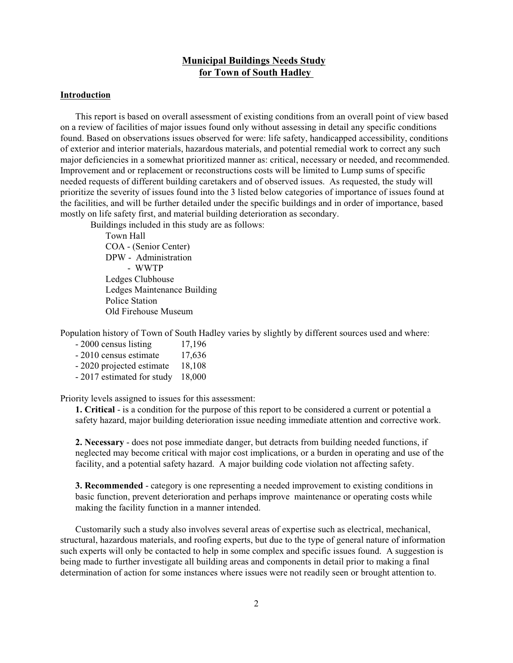# **Municipal Buildings Needs Study for Town of South Hadley**

#### **Introduction**

This report is based on overall assessment of existing conditions from an overall point of view based on a review of facilities of major issues found only without assessing in detail any specific conditions found. Based on observations issues observed for were: life safety, handicapped accessibility, conditions of exterior and interior materials, hazardous materials, and potential remedial work to correct any such major deficiencies in a somewhat prioritized manner as: critical, necessary or needed, and recommended. Improvement and or replacement or reconstructions costs will be limited to Lump sums of specific needed requests of different building caretakers and of observed issues. As requested, the study will prioritize the severity of issues found into the 3 listed below categories of importance of issues found at the facilities, and will be further detailed under the specific buildings and in order of importance, based mostly on life safety first, and material building deterioration as secondary.

Buildings included in this study are as follows:

Town Hall COA - (Senior Center) DPW - Administration - WWTP Ledges Clubhouse Ledges Maintenance Building Police Station Old Firehouse Museum

Population history of Town of South Hadley varies by slightly by different sources used and where:

- 2000 census listing 17,196  $-2010$  census estimate  $17,636$ - 2020 projected estimate 18,108 - 2017 estimated for study 18,000

Priority levels assigned to issues for this assessment:

**1. Critical** - is a condition for the purpose of this report to be considered a current or potential a safety hazard, major building deterioration issue needing immediate attention and corrective work.

**2. Necessary** - does not pose immediate danger, but detracts from building needed functions, if neglected may become critical with major cost implications, or a burden in operating and use of the facility, and a potential safety hazard. A major building code violation not affecting safety.

**3. Recommended** - category is one representing a needed improvement to existing conditions in basic function, prevent deterioration and perhaps improve maintenance or operating costs while making the facility function in a manner intended.

Customarily such a study also involves several areas of expertise such as electrical, mechanical, structural, hazardous materials, and roofing experts, but due to the type of general nature of information such experts will only be contacted to help in some complex and specific issues found. A suggestion is being made to further investigate all building areas and components in detail prior to making a final determination of action for some instances where issues were not readily seen or brought attention to.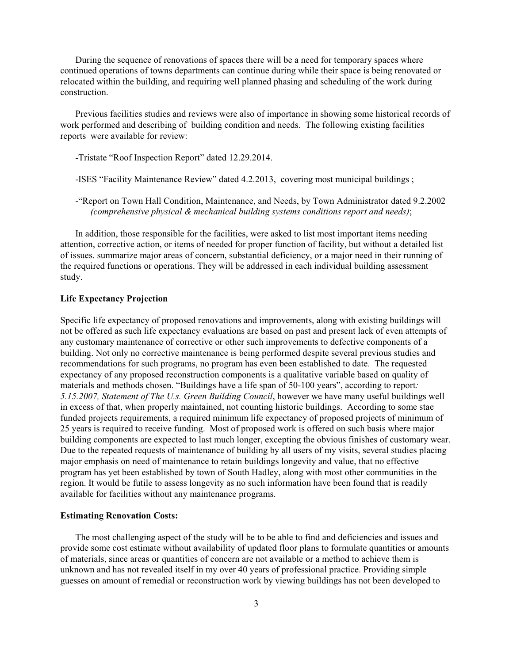During the sequence of renovations of spaces there will be a need for temporary spaces where continued operations of towns departments can continue during while their space is being renovated or relocated within the building, and requiring well planned phasing and scheduling of the work during construction.

Previous facilities studies and reviews were also of importance in showing some historical records of work performed and describing of building condition and needs. The following existing facilities reports were available for review:

- -Tristate "Roof Inspection Report" dated 12.29.2014.
- -ISES "Facility Maintenance Review" dated 4.2.2013, covering most municipal buildings ;
- -"Report on Town Hall Condition, Maintenance, and Needs, by Town Administrator dated 9.2.2002 *(comprehensive physical & mechanical building systems conditions report and needs)*;

In addition, those responsible for the facilities, were asked to list most important items needing attention, corrective action, or items of needed for proper function of facility, but without a detailed list of issues. summarize major areas of concern, substantial deficiency, or a major need in their running of the required functions or operations. They will be addressed in each individual building assessment study.

# **Life Expectancy Projection**

Specific life expectancy of proposed renovations and improvements, along with existing buildings will not be offered as such life expectancy evaluations are based on past and present lack of even attempts of any customary maintenance of corrective or other such improvements to defective components of a building. Not only no corrective maintenance is being performed despite several previous studies and recommendations for such programs, no program has even been established to date. The requested expectancy of any proposed reconstruction components is a qualitative variable based on quality of materials and methods chosen. "Buildings have a life span of 50-100 years", according to report*: 5.15.2007, Statement of The U.s. Green Building Council*, however we have many useful buildings well in excess of that, when properly maintained, not counting historic buildings. According to some stae funded projects requirements, a required minimum life expectancy of proposed projects of minimum of 25 years is required to receive funding. Most of proposed work is offered on such basis where major building components are expected to last much longer, excepting the obvious finishes of customary wear. Due to the repeated requests of maintenance of building by all users of my visits, several studies placing major emphasis on need of maintenance to retain buildings longevity and value, that no effective program has yet been established by town of South Hadley, along with most other communities in the region. It would be futile to assess longevity as no such information have been found that is readily available for facilities without any maintenance programs.

#### **Estimating Renovation Costs:**

The most challenging aspect of the study will be to be able to find and deficiencies and issues and provide some cost estimate without availability of updated floor plans to formulate quantities or amounts of materials, since areas or quantities of concern are not available or a method to achieve them is unknown and has not revealed itself in my over 40 years of professional practice. Providing simple guesses on amount of remedial or reconstruction work by viewing buildings has not been developed to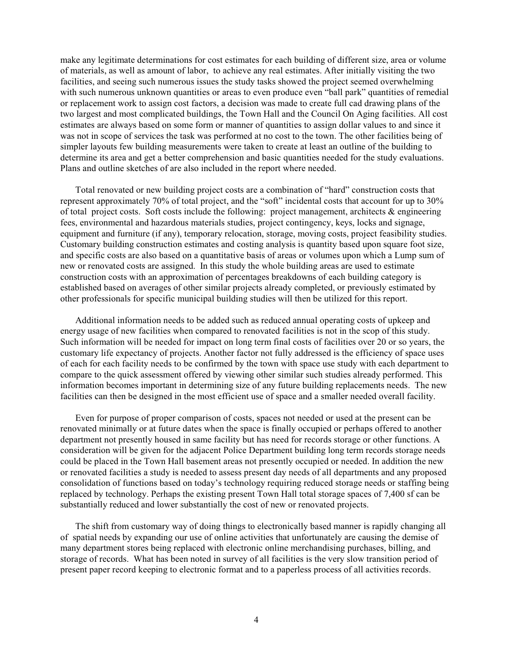make any legitimate determinations for cost estimates for each building of different size, area or volume of materials, as well as amount of labor, to achieve any real estimates. After initially visiting the two facilities, and seeing such numerous issues the study tasks showed the project seemed overwhelming with such numerous unknown quantities or areas to even produce even "ball park" quantities of remedial or replacement work to assign cost factors, a decision was made to create full cad drawing plans of the two largest and most complicated buildings, the Town Hall and the Council On Aging facilities. All cost estimates are always based on some form or manner of quantities to assign dollar values to and since it was not in scope of services the task was performed at no cost to the town. The other facilities being of simpler layouts few building measurements were taken to create at least an outline of the building to determine its area and get a better comprehension and basic quantities needed for the study evaluations. Plans and outline sketches of are also included in the report where needed.

Total renovated or new building project costs are a combination of "hard" construction costs that represent approximately 70% of total project, and the "soft" incidental costs that account for up to 30% of total project costs. Soft costs include the following: project management, architects & engineering fees, environmental and hazardous materials studies, project contingency, keys, locks and signage, equipment and furniture (if any), temporary relocation, storage, moving costs, project feasibility studies. Customary building construction estimates and costing analysis is quantity based upon square foot size, and specific costs are also based on a quantitative basis of areas or volumes upon which a Lump sum of new or renovated costs are assigned. In this study the whole building areas are used to estimate construction costs with an approximation of percentages breakdowns of each building category is established based on averages of other similar projects already completed, or previously estimated by other professionals for specific municipal building studies will then be utilized for this report.

Additional information needs to be added such as reduced annual operating costs of upkeep and energy usage of new facilities when compared to renovated facilities is not in the scop of this study. Such information will be needed for impact on long term final costs of facilities over 20 or so years, the customary life expectancy of projects. Another factor not fully addressed is the efficiency of space uses of each for each facility needs to be confirmed by the town with space use study with each department to compare to the quick assessment offered by viewing other similar such studies already performed. This information becomes important in determining size of any future building replacements needs. The new facilities can then be designed in the most efficient use of space and a smaller needed overall facility.

Even for purpose of proper comparison of costs, spaces not needed or used at the present can be renovated minimally or at future dates when the space is finally occupied or perhaps offered to another department not presently housed in same facility but has need for records storage or other functions. A consideration will be given for the adjacent Police Department building long term records storage needs could be placed in the Town Hall basement areas not presently occupied or needed. In addition the new or renovated facilities a study is needed to assess present day needs of all departments and any proposed consolidation of functions based on today's technology requiring reduced storage needs or staffing being replaced by technology. Perhaps the existing present Town Hall total storage spaces of 7,400 sf can be substantially reduced and lower substantially the cost of new or renovated projects.

The shift from customary way of doing things to electronically based manner is rapidly changing all of spatial needs by expanding our use of online activities that unfortunately are causing the demise of many department stores being replaced with electronic online merchandising purchases, billing, and storage of records. What has been noted in survey of all facilities is the very slow transition period of present paper record keeping to electronic format and to a paperless process of all activities records.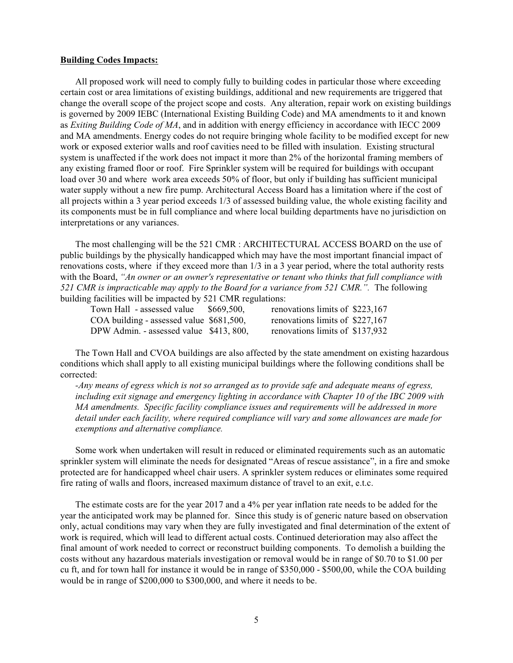#### **Building Codes Impacts:**

All proposed work will need to comply fully to building codes in particular those where exceeding certain cost or area limitations of existing buildings, additional and new requirements are triggered that change the overall scope of the project scope and costs. Any alteration, repair work on existing buildings is governed by 2009 IEBC (International Existing Building Code) and MA amendments to it and known as *Exiting Building Code of MA*, and in addition with energy efficiency in accordance with IECC 2009 and MA amendments. Energy codes do not require bringing whole facility to be modified except for new work or exposed exterior walls and roof cavities need to be filled with insulation. Existing structural system is unaffected if the work does not impact it more than 2% of the horizontal framing members of any existing framed floor or roof. Fire Sprinkler system will be required for buildings with occupant load over 30 and where work area exceeds 50% of floor, but only if building has sufficient municipal water supply without a new fire pump. Architectural Access Board has a limitation where if the cost of all projects within a 3 year period exceeds 1/3 of assessed building value, the whole existing facility and its components must be in full compliance and where local building departments have no jurisdiction on interpretations or any variances.

The most challenging will be the 521 CMR : ARCHITECTURAL ACCESS BOARD on the use of public buildings by the physically handicapped which may have the most important financial impact of renovations costs, where if they exceed more than 1/3 in a 3 year period, where the total authority rests with the Board, *"An owner or an owner's representative or tenant who thinks that full compliance with 521 CMR is impracticable may apply to the Board for a variance from 521 CMR.".* The following building facilities will be impacted by 521 CMR regulations:

Town Hall - assessed value \$669,500, renovations limits of \$223,167 COA building - assessed value \$681,500, renovations limits of \$227,167 DPW Admin. - assessed value \$413, 800, renovations limits of \$137,932

The Town Hall and CVOA buildings are also affected by the state amendment on existing hazardous conditions which shall apply to all existing municipal buildings where the following conditions shall be corrected:

*-Any means of egress which is not so arranged as to provide safe and adequate means of egress, including exit signage and emergency lighting in accordance with Chapter 10 of the IBC 2009 with MA amendments. Specific facility compliance issues and requirements will be addressed in more detail under each facility, where required compliance will vary and some allowances are made for exemptions and alternative compliance.*

Some work when undertaken will result in reduced or eliminated requirements such as an automatic sprinkler system will eliminate the needs for designated "Areas of rescue assistance", in a fire and smoke protected are for handicapped wheel chair users. A sprinkler system reduces or eliminates some required fire rating of walls and floors, increased maximum distance of travel to an exit, e.t.c.

The estimate costs are for the year 2017 and a 4% per year inflation rate needs to be added for the year the anticipated work may be planned for. Since this study is of generic nature based on observation only, actual conditions may vary when they are fully investigated and final determination of the extent of work is required, which will lead to different actual costs. Continued deterioration may also affect the final amount of work needed to correct or reconstruct building components. To demolish a building the costs without any hazardous materials investigation or removal would be in range of \$0.70 to \$1.00 per cu ft, and for town hall for instance it would be in range of \$350,000 - \$500,00, while the COA building would be in range of \$200,000 to \$300,000, and where it needs to be.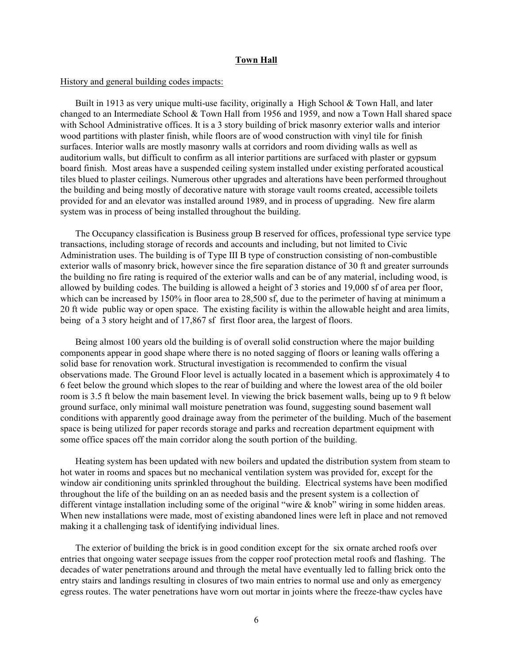## **Town Hall**

#### History and general building codes impacts:

Built in 1913 as very unique multi-use facility, originally a High School & Town Hall, and later changed to an Intermediate School & Town Hall from 1956 and 1959, and now a Town Hall shared space with School Administrative offices. It is a 3 story building of brick masonry exterior walls and interior wood partitions with plaster finish, while floors are of wood construction with vinyl tile for finish surfaces. Interior walls are mostly masonry walls at corridors and room dividing walls as well as auditorium walls, but difficult to confirm as all interior partitions are surfaced with plaster or gypsum board finish. Most areas have a suspended ceiling system installed under existing perforated acoustical tiles blued to plaster ceilings. Numerous other upgrades and alterations have been performed throughout the building and being mostly of decorative nature with storage vault rooms created, accessible toilets provided for and an elevator was installed around 1989, and in process of upgrading. New fire alarm system was in process of being installed throughout the building.

The Occupancy classification is Business group B reserved for offices, professional type service type transactions, including storage of records and accounts and including, but not limited to Civic Administration uses. The building is of Type III B type of construction consisting of non-combustible exterior walls of masonry brick, however since the fire separation distance of 30 ft and greater surrounds the building no fire rating is required of the exterior walls and can be of any material, including wood, is allowed by building codes. The building is allowed a height of 3 stories and 19,000 sf of area per floor, which can be increased by 150% in floor area to 28,500 sf, due to the perimeter of having at minimum a 20 ft wide public way or open space. The existing facility is within the allowable height and area limits, being of a 3 story height and of 17,867 sf first floor area, the largest of floors.

Being almost 100 years old the building is of overall solid construction where the major building components appear in good shape where there is no noted sagging of floors or leaning walls offering a solid base for renovation work. Structural investigation is recommended to confirm the visual observations made. The Ground Floor level is actually located in a basement which is approximately 4 to 6 feet below the ground which slopes to the rear of building and where the lowest area of the old boiler room is 3.5 ft below the main basement level. In viewing the brick basement walls, being up to 9 ft below ground surface, only minimal wall moisture penetration was found, suggesting sound basement wall conditions with apparently good drainage away from the perimeter of the building. Much of the basement space is being utilized for paper records storage and parks and recreation department equipment with some office spaces off the main corridor along the south portion of the building.

Heating system has been updated with new boilers and updated the distribution system from steam to hot water in rooms and spaces but no mechanical ventilation system was provided for, except for the window air conditioning units sprinkled throughout the building. Electrical systems have been modified throughout the life of the building on an as needed basis and the present system is a collection of different vintage installation including some of the original "wire & knob" wiring in some hidden areas. When new installations were made, most of existing abandoned lines were left in place and not removed making it a challenging task of identifying individual lines.

The exterior of building the brick is in good condition except for the six ornate arched roofs over entries that ongoing water seepage issues from the copper roof protection metal roofs and flashing. The decades of water penetrations around and through the metal have eventually led to falling brick onto the entry stairs and landings resulting in closures of two main entries to normal use and only as emergency egress routes. The water penetrations have worn out mortar in joints where the freeze-thaw cycles have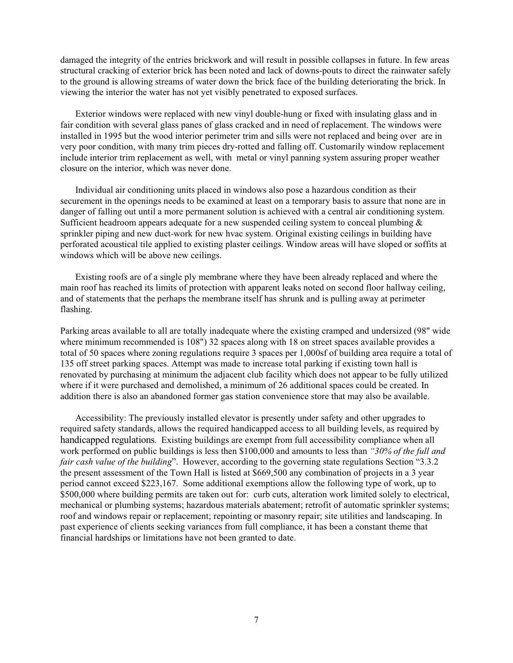damaged the integrity of the entries brickwork and will result in possible collapses in future. In few areas structural cracking of exterior brick has been noted and lack of downs-pouts to direct the rainwater safely to the ground is allowing streams of water down the brick face of the building deteriorating the brick. In viewing the interior the water has not yet visibly penetrated to exposed surfaces.

Exterior windows were replaced with new vinyl double-hung or fixed with insulating glass and in fair condition with several glass panes of glass cracked and in need of replacement. The windows were installed in 1995 but the wood interior perimeter trim and sills were not replaced and being over are in very poor condition, with many trim pieces dry-rotted and falling off. Customarily window replacement include interior trim replacement as well, with metal or vinyl panning system assuring proper weather closure on the interior, which was never done.

Individual air conditioning units placed in windows also pose a hazardous condition as their securement in the openings needs to be examined at least on a temporary basis to assure that none are in danger of falling out until a more permanent solution is achieved with a central air conditioning system. Sufficient headroom appears adequate for a new suspended ceiling system to conceal plumbing & sprinkler piping and new duct-work for new hvac system. Original existing ceilings in building have perforated acoustical tile applied to existing plaster ceilings. Window areas will have sloped or soffits at windows which will be above new ceilings.

Existing roofs are of a single ply membrane where they have been already replaced and where the main roof has reached its limits of protection with apparent leaks noted on second floor hallway ceiling, and of statements that the perhaps the membrane itself has shrunk and is pulling away at perimeter flashing.

Parking areas available to all are totally inadequate where the existing cramped and undersized (98" wide where minimum recommended is 108") 32 spaces along with 18 on street spaces available provides a total of 50 spaces where zoning regulations require 3 spaces per 1,000sf of building area require a total of 135 off street parking spaces. Attempt was made to increase total parking if existing town hall is renovated by purchasing at minimum the adjacent club facility which does not appear to be fully utilized where if it were purchased and demolished, a minimum of 26 additional spaces could be created. In addition there is also an abandoned former gas station convenience store that may also be available.

Accessibility: The previously installed elevator is presently under safety and other upgrades to required safety standards, allows the required handicapped access to all building levels, as required by handicapped regulations. Existing buildings are exempt from full accessibility compliance when all work performed on public buildings is less then \$100,000 and amounts to less than *"30% of the full and fair cash value of the building*". However, according to the governing state regulations Section "3.3.2 the present assessment of the Town Hall is listed at \$669,500 any combination of projects in a 3 year period cannot exceed \$223,167. Some additional exemptions allow the following type of work, up to \$500,000 where building permits are taken out for: curb cuts, alteration work limited solely to electrical, mechanical or plumbing systems; hazardous materials abatement; retrofit of automatic sprinkler systems; roof and windows repair or replacement; repointing or masonry repair; site utilities and landscaping. In past experience of clients seeking variances from full compliance, it has been a constant theme that financial hardships or limitations have not been granted to date.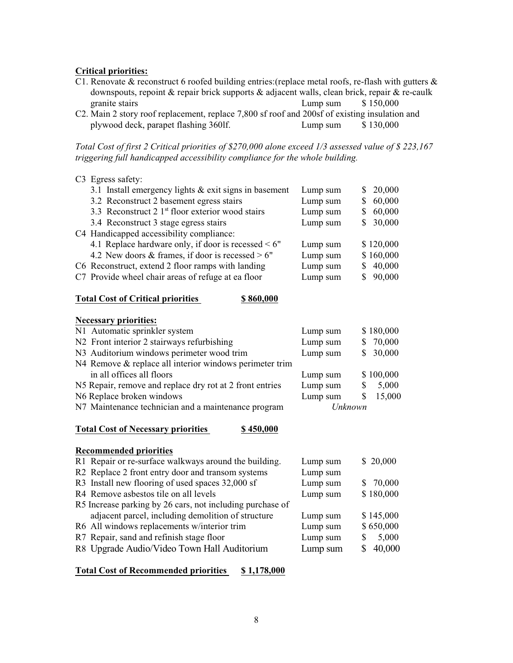## **Critical priorities:**

- C1. Renovate & reconstruct 6 roofed building entries: (replace metal roofs, re-flash with gutters  $\&$ downspouts, repoint & repair brick supports & adjacent walls, clean brick, repair & re-caulk granite stairs Lump sum \$ 150,000
- C2. Main 2 story roof replacement, replace 7,800 sf roof and 200sf of existing insulation and plywood deck, parapet flashing 360lf. Lump sum \$ 130,000

*Total Cost of first 2 Critical priorities of \$270,000 alone exceed 1/3 assessed value of \$ 223,167 triggering full handicapped accessibility compliance for the whole building.*

| C <sub>3</sub> Egress safety:                             |          |              |
|-----------------------------------------------------------|----------|--------------|
| 3.1 Install emergency lights $&$ exit signs in basement   | Lump sum | 20,000<br>S  |
| 3.2 Reconstruct 2 basement egress stairs                  | Lump sum | 60,000<br>S  |
| 3.3 Reconstruct 2 $1st$ floor exterior wood stairs        | Lump sum | 60,000<br>S  |
| 3.4 Reconstruct 3 stage egress stairs                     | Lump sum | 30,000<br>S  |
| C4 Handicapped accessibility compliance:                  |          |              |
| 4.1 Replace hardware only, if door is recessed $\leq 6$ " | Lump sum | \$120,000    |
| 4.2 New doors & frames, if door is recessed $> 6"$        | Lump sum | \$160,000    |
| C6 Reconstruct, extend 2 floor ramps with landing         | Lump sum | 40,000<br>S  |
| C7 Provide wheel chair areas of refuge at ea floor        | Lump sum | 90,000<br>\$ |
| <b>Total Cost of Critical priorities</b><br>\$860,000     |          |              |
| <b>Necessary priorities:</b>                              |          |              |
| N1 Automatic sprinkler system                             | Lump sum | \$180,000    |
| N2 Front interior 2 stairways refurbishing                | Lump sum | 70,000<br>S  |
| N3 Auditorium windows perimeter wood trim                 | Lump sum | \$<br>30,000 |
| N4 Remove & replace all interior windows perimeter trim   |          |              |
| in all offices all floors                                 | Lump sum | \$100,000    |

N5 Repair, remove and replace dry rot at 2 front entries Lump sum \$ 5,000

N6 Replace broken windows Lump sum \$ 15,000<br>N7 Maintenance technician and a maintenance program Unknown N7 Maintenance technician and a maintenance program

#### Total Cost of Necessary priorities \$450,000

| <b>Recommended priorities</b>                                 |          |              |
|---------------------------------------------------------------|----------|--------------|
| R1 Repair or re-surface walkways around the building.         | Lump sum | \$20,000     |
| R <sub>2</sub> Replace 2 front entry door and transom systems | Lump sum |              |
| R3 Install new flooring of used spaces 32,000 sf              | Lump sum | 70,000<br>S. |
| R4 Remove asbestos tile on all levels                         | Lump sum | \$180,000    |
| R5 Increase parking by 26 cars, not including purchase of     |          |              |
| adjacent parcel, including demolition of structure            | Lump sum | \$145,000    |
| R6 All windows replacements w/interior trim                   | Lump sum | \$650,000    |
| R7 Repair, sand and refinish stage floor                      | Lump sum | 5,000<br>S   |
| R8 Upgrade Audio/Video Town Hall Auditorium                   | Lump sum | 40,000<br>S  |

## **Total Cost of Recommended priorities \$ 1,178,000**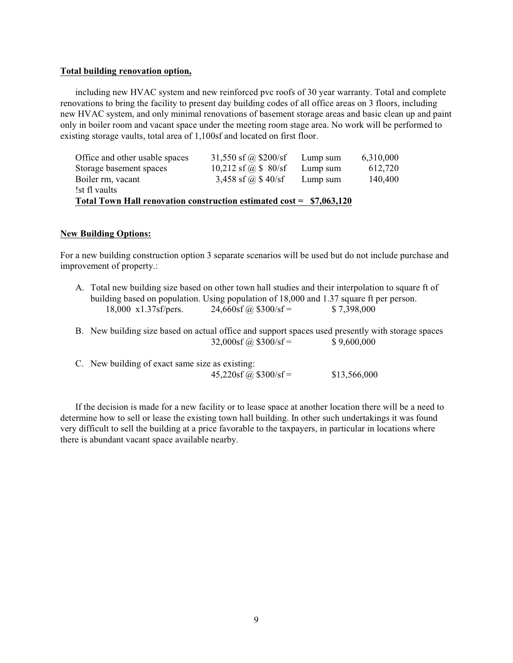#### **Total building renovation option,**

including new HVAC system and new reinforced pvc roofs of 30 year warranty. Total and complete renovations to bring the facility to present day building codes of all office areas on 3 floors, including new HVAC system, and only minimal renovations of basement storage areas and basic clean up and paint only in boiler room and vacant space under the meeting room stage area. No work will be performed to existing storage vaults, total area of 1,100sf and located on first floor.

| Total Town Hall renovation construction estimated cost = \$7,063,120 |                      |          |           |  |  |
|----------------------------------------------------------------------|----------------------|----------|-----------|--|--|
| !st fl vaults                                                        |                      |          |           |  |  |
| Boiler rm, vacant                                                    | 3,458 sf @ $$40/sf$  | Lump sum | 140,400   |  |  |
| Storage basement spaces                                              | 10,212 sf @ $$80/sf$ | Lump sum | 612,720   |  |  |
| Office and other usable spaces                                       | 31,550 sf @ \$200/sf | Lump sum | 6,310,000 |  |  |

## **New Building Options:**

For a new building construction option 3 separate scenarios will be used but do not include purchase and improvement of property.:

|                               |                          | A. Total new building size based on other town hall studies and their interpolation to square ft of |  |
|-------------------------------|--------------------------|-----------------------------------------------------------------------------------------------------|--|
|                               |                          | building based on population. Using population of 18,000 and 1.37 square ft per person.             |  |
| $18,000 \times 1.37$ sf/pers. | $24,660$ sf @ \$300/sf = | \$7,398,000                                                                                         |  |

- B. New building size based on actual office and support spaces used presently with storage spaces  $32,000 \text{sf}$   $\odot$   $\cancel{32,000 \text{sf}}$  =  $\cancel{9,600,000}$  $32,000sf$  (a)  $$300/sf =$
- C. New building of exact same size as existing:  $45,220$ sf @ \$300/sf = \$13,566,000

If the decision is made for a new facility or to lease space at another location there will be a need to determine how to sell or lease the existing town hall building. In other such undertakings it was found very difficult to sell the building at a price favorable to the taxpayers, in particular in locations where there is abundant vacant space available nearby.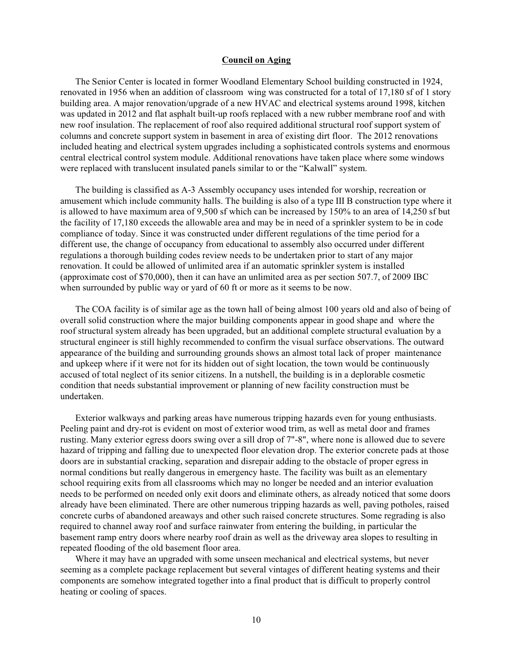## **Council on Aging**

The Senior Center is located in former Woodland Elementary School building constructed in 1924, renovated in 1956 when an addition of classroom wing was constructed for a total of 17,180 sf of 1 story building area. A major renovation/upgrade of a new HVAC and electrical systems around 1998, kitchen was updated in 2012 and flat asphalt built-up roofs replaced with a new rubber membrane roof and with new roof insulation. The replacement of roof also required additional structural roof support system of columns and concrete support system in basement in area of existing dirt floor. The 2012 renovations included heating and electrical system upgrades including a sophisticated controls systems and enormous central electrical control system module. Additional renovations have taken place where some windows were replaced with translucent insulated panels similar to or the "Kalwall" system.

The building is classified as A-3 Assembly occupancy uses intended for worship, recreation or amusement which include community halls. The building is also of a type III B construction type where it is allowed to have maximum area of 9,500 sf which can be increased by 150% to an area of 14,250 sf but the facility of 17,180 exceeds the allowable area and may be in need of a sprinkler system to be in code compliance of today. Since it was constructed under different regulations of the time period for a different use, the change of occupancy from educational to assembly also occurred under different regulations a thorough building codes review needs to be undertaken prior to start of any major renovation. It could be allowed of unlimited area if an automatic sprinkler system is installed (approximate cost of \$70,000), then it can have an unlimited area as per section 507.7, of 2009 IBC when surrounded by public way or yard of 60 ft or more as it seems to be now.

The COA facility is of similar age as the town hall of being almost 100 years old and also of being of overall solid construction where the major building components appear in good shape and where the roof structural system already has been upgraded, but an additional complete structural evaluation by a structural engineer is still highly recommended to confirm the visual surface observations. The outward appearance of the building and surrounding grounds shows an almost total lack of proper maintenance and upkeep where if it were not for its hidden out of sight location, the town would be continuously accused of total neglect of its senior citizens. In a nutshell, the building is in a deplorable cosmetic condition that needs substantial improvement or planning of new facility construction must be undertaken.

Exterior walkways and parking areas have numerous tripping hazards even for young enthusiasts. Peeling paint and dry-rot is evident on most of exterior wood trim, as well as metal door and frames rusting. Many exterior egress doors swing over a sill drop of 7"-8", where none is allowed due to severe hazard of tripping and falling due to unexpected floor elevation drop. The exterior concrete pads at those doors are in substantial cracking, separation and disrepair adding to the obstacle of proper egress in normal conditions but really dangerous in emergency haste. The facility was built as an elementary school requiring exits from all classrooms which may no longer be needed and an interior evaluation needs to be performed on needed only exit doors and eliminate others, as already noticed that some doors already have been eliminated. There are other numerous tripping hazards as well, paving potholes, raised concrete curbs of abandoned areaways and other such raised concrete structures. Some regrading is also required to channel away roof and surface rainwater from entering the building, in particular the basement ramp entry doors where nearby roof drain as well as the driveway area slopes to resulting in repeated flooding of the old basement floor area.

Where it may have an upgraded with some unseen mechanical and electrical systems, but never seeming as a complete package replacement but several vintages of different heating systems and their components are somehow integrated together into a final product that is difficult to properly control heating or cooling of spaces.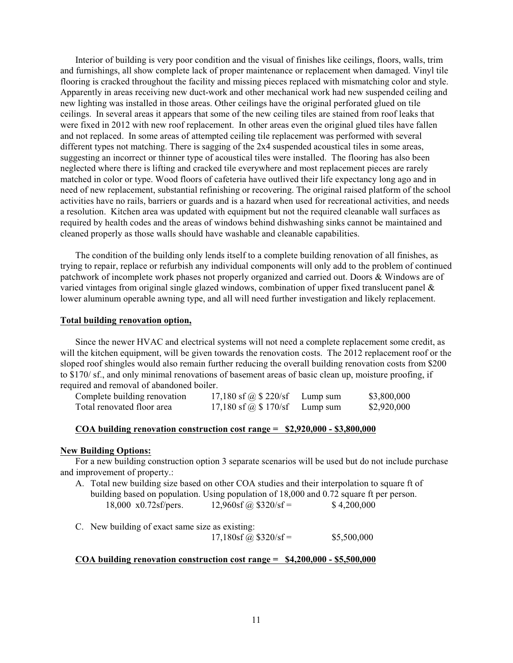Interior of building is very poor condition and the visual of finishes like ceilings, floors, walls, trim and furnishings, all show complete lack of proper maintenance or replacement when damaged. Vinyl tile flooring is cracked throughout the facility and missing pieces replaced with mismatching color and style. Apparently in areas receiving new duct-work and other mechanical work had new suspended ceiling and new lighting was installed in those areas. Other ceilings have the original perforated glued on tile ceilings. In several areas it appears that some of the new ceiling tiles are stained from roof leaks that were fixed in 2012 with new roof replacement. In other areas even the original glued tiles have fallen and not replaced. In some areas of attempted ceiling tile replacement was performed with several different types not matching. There is sagging of the 2x4 suspended acoustical tiles in some areas, suggesting an incorrect or thinner type of acoustical tiles were installed. The flooring has also been neglected where there is lifting and cracked tile everywhere and most replacement pieces are rarely matched in color or type. Wood floors of cafeteria have outlived their life expectancy long ago and in need of new replacement, substantial refinishing or recovering. The original raised platform of the school activities have no rails, barriers or guards and is a hazard when used for recreational activities, and needs a resolution. Kitchen area was updated with equipment but not the required cleanable wall surfaces as required by health codes and the areas of windows behind dishwashing sinks cannot be maintained and cleaned properly as those walls should have washable and cleanable capabilities.

The condition of the building only lends itself to a complete building renovation of all finishes, as trying to repair, replace or refurbish any individual components will only add to the problem of continued patchwork of incomplete work phases not properly organized and carried out. Doors & Windows are of varied vintages from original single glazed windows, combination of upper fixed translucent panel & lower aluminum operable awning type, and all will need further investigation and likely replacement.

#### **Total building renovation option,**

Since the newer HVAC and electrical systems will not need a complete replacement some credit, as will the kitchen equipment, will be given towards the renovation costs. The 2012 replacement roof or the sloped roof shingles would also remain further reducing the overall building renovation costs from \$200 to \$170/ sf., and only minimal renovations of basement areas of basic clean up, moisture proofing, if required and removal of abandoned boiler.

| Complete building renovation | 17,180 sf @ $$220/sf$ | Lump sum | \$3,800,000 |
|------------------------------|-----------------------|----------|-------------|
| Total renovated floor area   | 17,180 sf @ $$170/sf$ | Lump sum | \$2,920,000 |

## **COA building renovation construction cost range = \$2,920,000 - \$3,800,000**

#### **New Building Options:**

For a new building construction option 3 separate scenarios will be used but do not include purchase and improvement of property.:

- A. Total new building size based on other COA studies and their interpolation to square ft of building based on population. Using population of 18,000 and 0.72 square ft per person. 18,000 x0.72sf/pers.  $12,960s$   $\hat{a}$  \$320/sf = \$4,200,000
- C. New building of exact same size as existing:  $17,180$ sf @ \$320/sf = \$5,500,000

#### **COA building renovation construction cost range = \$4,200,000 - \$5,500,000**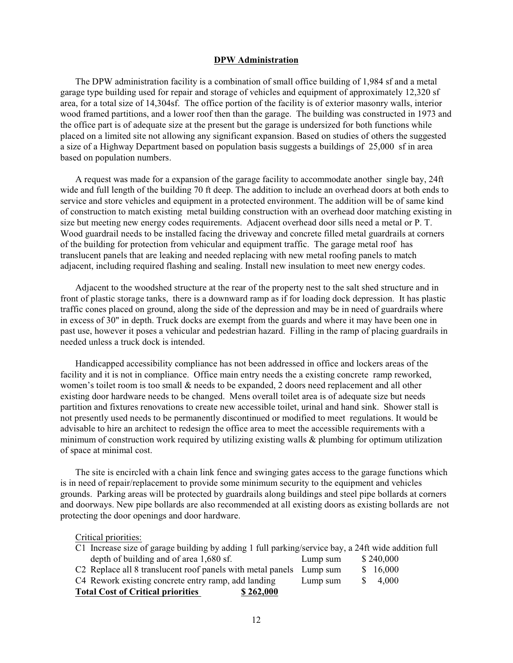#### **DPW Administration**

The DPW administration facility is a combination of small office building of 1,984 sf and a metal garage type building used for repair and storage of vehicles and equipment of approximately 12,320 sf area, for a total size of 14,304sf. The office portion of the facility is of exterior masonry walls, interior wood framed partitions, and a lower roof then than the garage. The building was constructed in 1973 and the office part is of adequate size at the present but the garage is undersized for both functions while placed on a limited site not allowing any significant expansion. Based on studies of others the suggested a size of a Highway Department based on population basis suggests a buildings of 25,000 sf in area based on population numbers.

A request was made for a expansion of the garage facility to accommodate another single bay, 24ft wide and full length of the building 70 ft deep. The addition to include an overhead doors at both ends to service and store vehicles and equipment in a protected environment. The addition will be of same kind of construction to match existing metal building construction with an overhead door matching existing in size but meeting new energy codes requirements. Adjacent overhead door sills need a metal or P. T. Wood guardrail needs to be installed facing the driveway and concrete filled metal guardrails at corners of the building for protection from vehicular and equipment traffic. The garage metal roof has translucent panels that are leaking and needed replacing with new metal roofing panels to match adjacent, including required flashing and sealing. Install new insulation to meet new energy codes.

Adjacent to the woodshed structure at the rear of the property nest to the salt shed structure and in front of plastic storage tanks, there is a downward ramp as if for loading dock depression. It has plastic traffic cones placed on ground, along the side of the depression and may be in need of guardrails where in excess of 30" in depth. Truck docks are exempt from the guards and where it may have been one in past use, however it poses a vehicular and pedestrian hazard. Filling in the ramp of placing guardrails in needed unless a truck dock is intended.

Handicapped accessibility compliance has not been addressed in office and lockers areas of the facility and it is not in compliance. Office main entry needs the a existing concrete ramp reworked, women's toilet room is too small & needs to be expanded, 2 doors need replacement and all other existing door hardware needs to be changed. Mens overall toilet area is of adequate size but needs partition and fixtures renovations to create new accessible toilet, urinal and hand sink. Shower stall is not presently used needs to be permanently discontinued or modified to meet regulations. It would be advisable to hire an architect to redesign the office area to meet the accessible requirements with a minimum of construction work required by utilizing existing walls & plumbing for optimum utilization of space at minimal cost.

The site is encircled with a chain link fence and swinging gates access to the garage functions which is in need of repair/replacement to provide some minimum security to the equipment and vehicles grounds. Parking areas will be protected by guardrails along buildings and steel pipe bollards at corners and doorways. New pipe bollards are also recommended at all existing doors as existing bollards are not protecting the door openings and door hardware.

Critical priorities:

| C1 Increase size of garage building by adding 1 full parking/service bay, a 24ft wide addition full |          |           |  |
|-----------------------------------------------------------------------------------------------------|----------|-----------|--|
| depth of building and of area 1,680 sf.                                                             | Lump sum | \$240,000 |  |
| C <sub>2</sub> Replace all 8 translucent roof panels with metal panels Lump sum                     |          | \$16,000  |  |
| C4 Rework existing concrete entry ramp, add landing                                                 | Lump sum | \$4,000   |  |
| <b>Total Cost of Critical priorities</b><br>\$262,000                                               |          |           |  |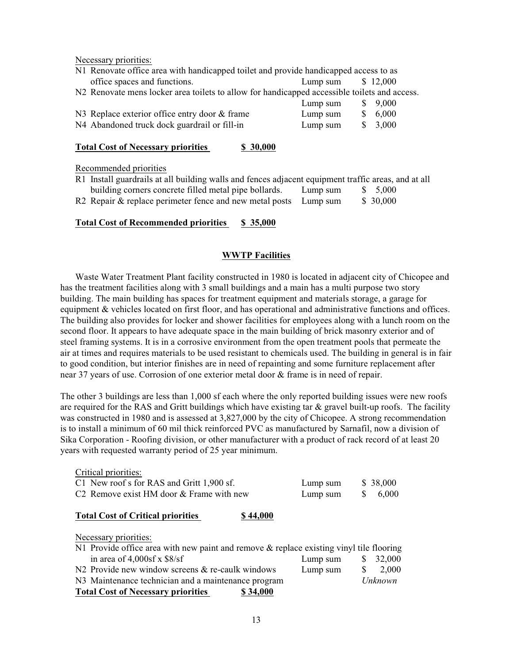Necessary priorities:

| N1 Renovate office area with handicapped toilet and provide handicapped access to as         |          |  |          |
|----------------------------------------------------------------------------------------------|----------|--|----------|
| office spaces and functions.                                                                 | Lump sum |  | \$12,000 |
| N2 Renovate mens locker area toilets to allow for handicapped accessible toilets and access. |          |  |          |
|                                                                                              | Lump sum |  | \$9,000  |
| N3 Replace exterior office entry door & frame                                                | Lump sum |  | \$6,000  |
| N4 Abandoned truck dock guardrail or fill-in                                                 | Lump sum |  | \$3,000  |
|                                                                                              |          |  |          |

## **Total Cost of Necessary priorities \$ 30,000**

Recommended priorities

| R1 Install guardrails at all building walls and fences adjacent equipment traffic areas, and at all |          |          |
|-----------------------------------------------------------------------------------------------------|----------|----------|
| building corners concrete filled metal pipe bollards.                                               | Lump sum | \$ 5,000 |
| R2 Repair & replace perimeter fence and new metal posts Lump sum                                    |          | \$30,000 |

## **Total Cost of Recommended priorities \$ 35,000**

## **WWTP Facilities**

Waste Water Treatment Plant facility constructed in 1980 is located in adjacent city of Chicopee and has the treatment facilities along with 3 small buildings and a main has a multi purpose two story building. The main building has spaces for treatment equipment and materials storage, a garage for equipment & vehicles located on first floor, and has operational and administrative functions and offices. The building also provides for locker and shower facilities for employees along with a lunch room on the second floor. It appears to have adequate space in the main building of brick masonry exterior and of steel framing systems. It is in a corrosive environment from the open treatment pools that permeate the air at times and requires materials to be used resistant to chemicals used. The building in general is in fair to good condition, but interior finishes are in need of repainting and some furniture replacement after near 37 years of use. Corrosion of one exterior metal door & frame is in need of repair.

The other 3 buildings are less than 1,000 sf each where the only reported building issues were new roofs are required for the RAS and Gritt buildings which have existing tar  $\&$  gravel built-up roofs. The facility was constructed in 1980 and is assessed at 3,827,000 by the city of Chicopee. A strong recommendation is to install a minimum of 60 mil thick reinforced PVC as manufactured by Sarnafil, now a division of Sika Corporation - Roofing division, or other manufacturer with a product of rack record of at least 20 years with requested warranty period of 25 year minimum.

| Critical priorities:                                                                       |          |   |          |
|--------------------------------------------------------------------------------------------|----------|---|----------|
| C1 New roof s for RAS and Gritt 1,900 sf.                                                  | Lump sum |   | \$38,000 |
| C <sub>2</sub> Remove exist HM door & Frame with new                                       | Lump sum | S | 6,000    |
| <b>Total Cost of Critical priorities</b><br>\$44,000                                       |          |   |          |
| Necessary priorities:                                                                      |          |   |          |
| N1 Provide office area with new paint and remove $\&$ replace existing vinyl tile flooring |          |   |          |
| in area of $4,000sf$ x $$8/sf$                                                             | Lump sum | S | 32,000   |
| N2 Provide new window screens & re-caulk windows                                           | Lump sum | S | 2,000    |
|                                                                                            |          |   |          |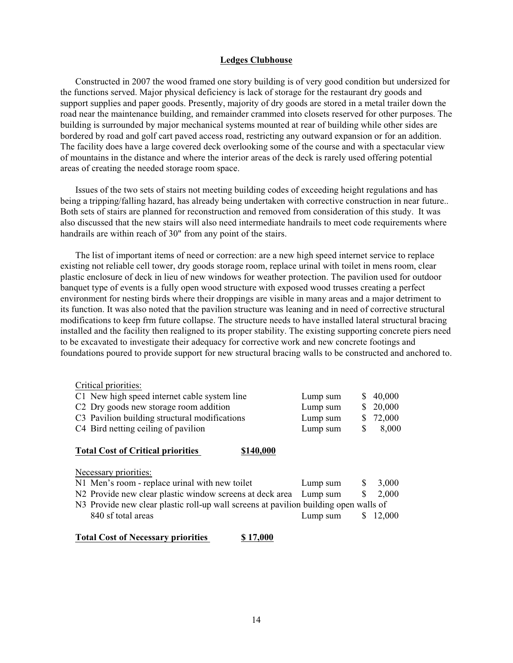## **Ledges Clubhouse**

Constructed in 2007 the wood framed one story building is of very good condition but undersized for the functions served. Major physical deficiency is lack of storage for the restaurant dry goods and support supplies and paper goods. Presently, majority of dry goods are stored in a metal trailer down the road near the maintenance building, and remainder crammed into closets reserved for other purposes. The building is surrounded by major mechanical systems mounted at rear of building while other sides are bordered by road and golf cart paved access road, restricting any outward expansion or for an addition. The facility does have a large covered deck overlooking some of the course and with a spectacular view of mountains in the distance and where the interior areas of the deck is rarely used offering potential areas of creating the needed storage room space.

Issues of the two sets of stairs not meeting building codes of exceeding height regulations and has being a tripping/falling hazard, has already being undertaken with corrective construction in near future.. Both sets of stairs are planned for reconstruction and removed from consideration of this study. It was also discussed that the new stairs will also need intermediate handrails to meet code requirements where handrails are within reach of 30" from any point of the stairs.

The list of important items of need or correction: are a new high speed internet service to replace existing not reliable cell tower, dry goods storage room, replace urinal with toilet in mens room, clear plastic enclosure of deck in lieu of new windows for weather protection. The pavilion used for outdoor banquet type of events is a fully open wood structure with exposed wood trusses creating a perfect environment for nesting birds where their droppings are visible in many areas and a major detriment to its function. It was also noted that the pavilion structure was leaning and in need of corrective structural modifications to keep frm future collapse. The structure needs to have installed lateral structural bracing installed and the facility then realigned to its proper stability. The existing supporting concrete piers need to be excavated to investigate their adequacy for corrective work and new concrete footings and foundations poured to provide support for new structural bracing walls to be constructed and anchored to.

| Critical priorities:                                                                 |        |
|--------------------------------------------------------------------------------------|--------|
| C1 New high speed internet cable system line<br>S<br>Lump sum                        | 40,000 |
| C <sub>2</sub> Dry goods new storage room addition<br>Lump sum<br>S                  | 20,000 |
| C3 Pavilion building structural modifications<br>Lump sum<br>S                       | 72,000 |
| C4 Bird netting ceiling of pavilion<br>S<br>Lump sum                                 | 8,000  |
|                                                                                      |        |
| <b>Total Cost of Critical priorities</b><br>\$140,000                                |        |
|                                                                                      |        |
| Necessary priorities:                                                                |        |
| N1 Men's room - replace urinal with new toilet<br>S<br>Lump sum                      | 3,000  |
| \$<br>N2 Provide new clear plastic window screens at deck area<br>Lump sum           | 2,000  |
| N3 Provide new clear plastic roll-up wall screens at pavilion building open walls of |        |
| 840 sf total areas<br>Lump sum                                                       | 12,000 |
|                                                                                      |        |

# **Total Cost of Necessary priorities \$ 17,000**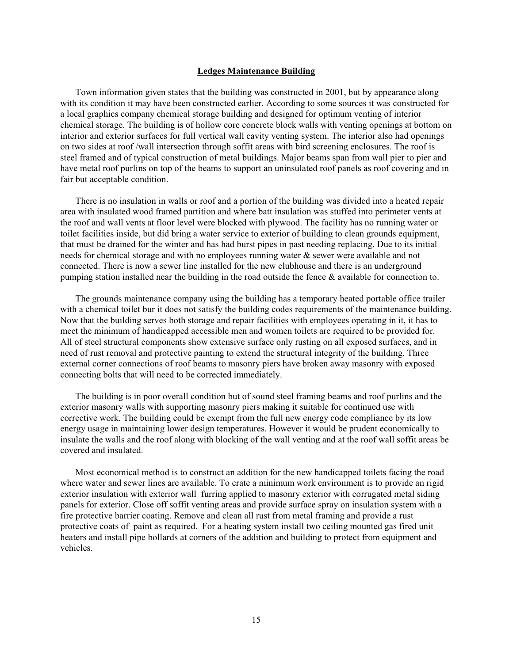#### **Ledges Maintenance Building**

Town information given states that the building was constructed in 2001, but by appearance along with its condition it may have been constructed earlier. According to some sources it was constructed for a local graphics company chemical storage building and designed for optimum venting of interior chemical storage. The building is of hollow core concrete block walls with venting openings at bottom on interior and exterior surfaces for full vertical wall cavity venting system. The interior also had openings on two sides at roof /wall intersection through soffit areas with bird screening enclosures. The roof is steel framed and of typical construction of metal buildings. Major beams span from wall pier to pier and have metal roof purlins on top of the beams to support an uninsulated roof panels as roof covering and in fair but acceptable condition.

There is no insulation in walls or roof and a portion of the building was divided into a heated repair area with insulated wood framed partition and where batt insulation was stuffed into perimeter vents at the roof and wall vents at floor level were blocked with plywood. The facility has no running water or toilet facilities inside, but did bring a water service to exterior of building to clean grounds equipment, that must be drained for the winter and has had burst pipes in past needing replacing. Due to its initial needs for chemical storage and with no employees running water & sewer were available and not connected. There is now a sewer line installed for the new clubhouse and there is an underground pumping station installed near the building in the road outside the fence  $\&$  available for connection to.

The grounds maintenance company using the building has a temporary heated portable office trailer with a chemical toilet bur it does not satisfy the building codes requirements of the maintenance building. Now that the building serves both storage and repair facilities with employees operating in it, it has to meet the minimum of handicapped accessible men and women toilets are required to be provided for. All of steel structural components show extensive surface only rusting on all exposed surfaces, and in need of rust removal and protective painting to extend the structural integrity of the building. Three external corner connections of roof beams to masonry piers have broken away masonry with exposed connecting bolts that will need to be corrected immediately.

The building is in poor overall condition but of sound steel framing beams and roof purlins and the exterior masonry walls with supporting masonry piers making it suitable for continued use with corrective work. The building could be exempt from the full new energy code compliance by its low energy usage in maintaining lower design temperatures. However it would be prudent economically to insulate the walls and the roof along with blocking of the wall venting and at the roof wall soffit areas be covered and insulated.

Most economical method is to construct an addition for the new handicapped toilets facing the road where water and sewer lines are available. To crate a minimum work environment is to provide an rigid exterior insulation with exterior wall furring applied to masonry exterior with corrugated metal siding panels for exterior. Close off soffit venting areas and provide surface spray on insulation system with a fire protective barrier coating. Remove and clean all rust from metal framing and provide a rust protective coats of paint as required. For a heating system install two ceiling mounted gas fired unit heaters and install pipe bollards at corners of the addition and building to protect from equipment and vehicles.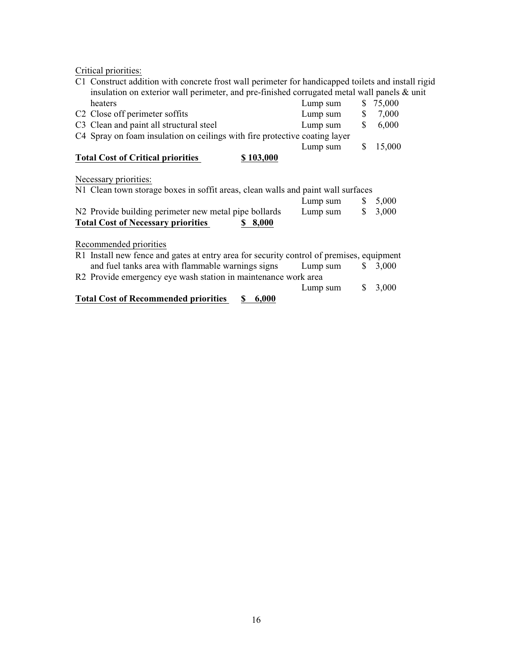Critical priorities:

| C1 Construct addition with concrete frost wall perimeter for handicapped toilets and install rigid        |          |    |          |
|-----------------------------------------------------------------------------------------------------------|----------|----|----------|
| insulation on exterior wall perimeter, and pre-finished corrugated metal wall panels & unit               |          |    |          |
| heaters                                                                                                   | Lump sum |    | \$75,000 |
| C <sub>2</sub> Close off perimeter soffits                                                                | Lump sum | \$ | 7,000    |
| C3 Clean and paint all structural steel                                                                   | Lump sum | \$ | 6,000    |
| C4 Spray on foam insulation on ceilings with fire protective coating layer                                |          |    |          |
|                                                                                                           | Lump sum | S  | 15,000   |
| <b>Total Cost of Critical priorities</b><br>\$103,000                                                     |          |    |          |
| Necessary priorities:<br>N1 Clean town storage boxes in soffit areas, clean walls and paint wall surfaces |          |    |          |
|                                                                                                           | Lump sum | S. | 5,000    |
| N2 Provide building perimeter new metal pipe bollards                                                     | Lump sum | \$ | 3,000    |
| <b>Total Cost of Necessary priorities</b><br>8,000                                                        |          |    |          |
|                                                                                                           |          |    |          |
| Recommended priorities                                                                                    |          |    |          |
| R1 Install new fence and gates at entry area for security control of premises, equipment                  |          |    |          |
| and fuel tanks area with flammable warnings signs                                                         | Lump sum | S. | 3,000    |
|                                                                                                           |          |    |          |

| <b>Total Cost of Recommended priorities</b><br>6,000<br>S –                              |          |
|------------------------------------------------------------------------------------------|----------|
| Lump sum                                                                                 | \$ 3.000 |
| R2 Provide emergency eye wash station in maintenance work area                           |          |
| and fuel tanks area with flammable warnings signs<br>Lump sum $\qquad$ \$ 3,000          |          |
| R1 Install new fence and gates at entry area for security control of premises, equipment |          |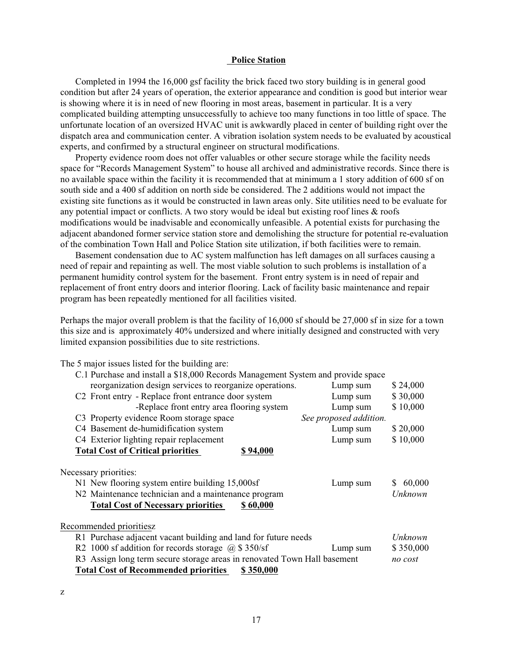## **Police Station**

Completed in 1994 the 16,000 gsf facility the brick faced two story building is in general good condition but after 24 years of operation, the exterior appearance and condition is good but interior wear is showing where it is in need of new flooring in most areas, basement in particular. It is a very complicated building attempting unsuccessfully to achieve too many functions in too little of space. The unfortunate location of an oversized HVAC unit is awkwardly placed in center of building right over the dispatch area and communication center. A vibration isolation system needs to be evaluated by acoustical experts, and confirmed by a structural engineer on structural modifications.

Property evidence room does not offer valuables or other secure storage while the facility needs space for "Records Management System" to house all archived and administrative records. Since there is no available space within the facility it is recommended that at minimum a 1 story addition of 600 sf on south side and a 400 sf addition on north side be considered. The 2 additions would not impact the existing site functions as it would be constructed in lawn areas only. Site utilities need to be evaluate for any potential impact or conflicts. A two story would be ideal but existing roof lines  $\&$  roofs modifications would be inadvisable and economically unfeasible. A potential exists for purchasing the adjacent abandoned former service station store and demolishing the structure for potential re-evaluation of the combination Town Hall and Police Station site utilization, if both facilities were to remain.

Basement condensation due to AC system malfunction has left damages on all surfaces causing a need of repair and repainting as well. The most viable solution to such problems is installation of a permanent humidity control system for the basement. Front entry system is in need of repair and replacement of front entry doors and interior flooring. Lack of facility basic maintenance and repair program has been repeatedly mentioned for all facilities visited.

Perhaps the major overall problem is that the facility of 16,000 sf should be 27,000 sf in size for a town this size and is approximately 40% undersized and where initially designed and constructed with very limited expansion possibilities due to site restrictions.

The 5 major issues listed for the building are:

| C.1 Purchase and install a \$18,000 Records Management System and provide space                                                                                                                      |                         |
|------------------------------------------------------------------------------------------------------------------------------------------------------------------------------------------------------|-------------------------|
| reorganization design services to reorganize operations.<br>Lump sum                                                                                                                                 | \$24,000                |
| C <sub>2</sub> Front entry - Replace front entrance door system<br>Lump sum                                                                                                                          | \$30,000                |
| -Replace front entry area flooring system<br>Lump sum                                                                                                                                                | \$10,000                |
| C3 Property evidence Room storage space<br>See proposed addition.                                                                                                                                    |                         |
| C4 Basement de-humidification system<br>Lump sum                                                                                                                                                     | \$20,000                |
| C4 Exterior lighting repair replacement<br>Lump sum                                                                                                                                                  | \$10,000                |
| <b>Total Cost of Critical priorities</b><br>\$94,000                                                                                                                                                 |                         |
| Necessary priorities:<br>N1 New flooring system entire building 15,000sf<br>Lump sum<br>N2 Maintenance technician and a maintenance program<br><b>Total Cost of Necessary priorities</b><br>\$60,000 | 60,000<br>S.<br>Unknown |
| Recommended prioritiesz                                                                                                                                                                              |                         |
| R1 Purchase adjacent vacant building and land for future needs                                                                                                                                       | Unknown                 |
| R2 1000 sf addition for records storage $\omega$ \$ 350/sf<br>Lump sum                                                                                                                               | \$350,000               |
| R3 Assign long term secure storage areas in renovated Town Hall basement                                                                                                                             | no cost                 |
| <b>Total Cost of Recommended priorities</b><br>\$350,000                                                                                                                                             |                         |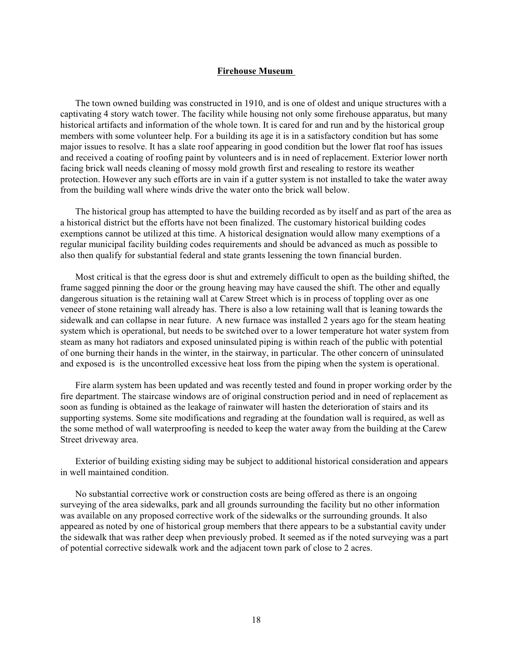#### **Firehouse Museum**

The town owned building was constructed in 1910, and is one of oldest and unique structures with a captivating 4 story watch tower. The facility while housing not only some firehouse apparatus, but many historical artifacts and information of the whole town. It is cared for and run and by the historical group members with some volunteer help. For a building its age it is in a satisfactory condition but has some major issues to resolve. It has a slate roof appearing in good condition but the lower flat roof has issues and received a coating of roofing paint by volunteers and is in need of replacement. Exterior lower north facing brick wall needs cleaning of mossy mold growth first and resealing to restore its weather protection. However any such efforts are in vain if a gutter system is not installed to take the water away from the building wall where winds drive the water onto the brick wall below.

The historical group has attempted to have the building recorded as by itself and as part of the area as a historical district but the efforts have not been finalized. The customary historical building codes exemptions cannot be utilized at this time. A historical designation would allow many exemptions of a regular municipal facility building codes requirements and should be advanced as much as possible to also then qualify for substantial federal and state grants lessening the town financial burden.

Most critical is that the egress door is shut and extremely difficult to open as the building shifted, the frame sagged pinning the door or the groung heaving may have caused the shift. The other and equally dangerous situation is the retaining wall at Carew Street which is in process of toppling over as one veneer of stone retaining wall already has. There is also a low retaining wall that is leaning towards the sidewalk and can collapse in near future. A new furnace was installed 2 years ago for the steam heating system which is operational, but needs to be switched over to a lower temperature hot water system from steam as many hot radiators and exposed uninsulated piping is within reach of the public with potential of one burning their hands in the winter, in the stairway, in particular. The other concern of uninsulated and exposed is is the uncontrolled excessive heat loss from the piping when the system is operational.

Fire alarm system has been updated and was recently tested and found in proper working order by the fire department. The staircase windows are of original construction period and in need of replacement as soon as funding is obtained as the leakage of rainwater will hasten the deterioration of stairs and its supporting systems. Some site modifications and regrading at the foundation wall is required, as well as the some method of wall waterproofing is needed to keep the water away from the building at the Carew Street driveway area.

Exterior of building existing siding may be subject to additional historical consideration and appears in well maintained condition.

No substantial corrective work or construction costs are being offered as there is an ongoing surveying of the area sidewalks, park and all grounds surrounding the facility but no other information was available on any proposed corrective work of the sidewalks or the surrounding grounds. It also appeared as noted by one of historical group members that there appears to be a substantial cavity under the sidewalk that was rather deep when previously probed. It seemed as if the noted surveying was a part of potential corrective sidewalk work and the adjacent town park of close to 2 acres.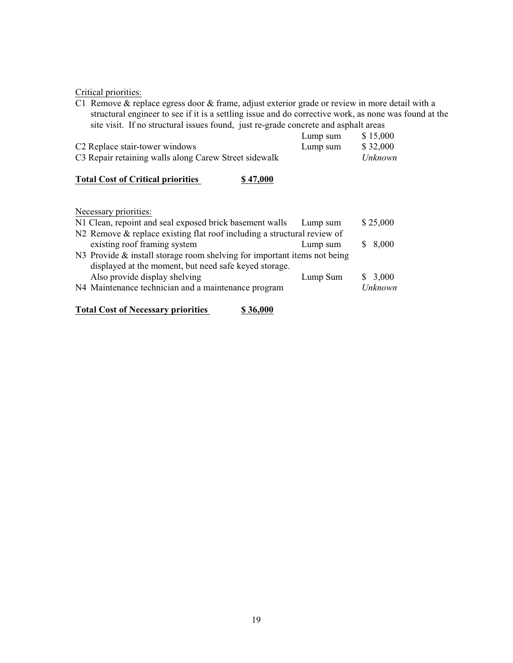Critical priorities:

C1 Remove & replace egress door & frame, adjust exterior grade or review in more detail with a structural engineer to see if it is a settling issue and do corrective work, as none was found at the site visit. If no structural issues found, just re-grade concrete and asphalt areas

|                                                       | Lump sum | \$15,000 |
|-------------------------------------------------------|----------|----------|
| C <sub>2</sub> Replace stair-tower windows            | Lump sum | \$32,000 |
| C3 Repair retaining walls along Carew Street sidewalk |          | Unknown  |

## **Total Cost of Critical priorities** \$ 47,000

Necessary priorities:

| N1 Clean, repoint and seal exposed brick basement walls                  | Lump sum | \$25,000 |
|--------------------------------------------------------------------------|----------|----------|
| N2 Remove & replace existing flat roof including a structural review of  |          |          |
| existing roof framing system                                             | Lump sum | \$8,000  |
| N3 Provide & install storage room shelving for important items not being |          |          |
| displayed at the moment, but need safe keyed storage.                    |          |          |
| Also provide display shelving                                            | Lump Sum | \$3,000  |
| N4 Maintenance technician and a maintenance program                      |          | Unknown  |
|                                                                          |          |          |

**Total Cost of Necessary priorities \$ 36,000**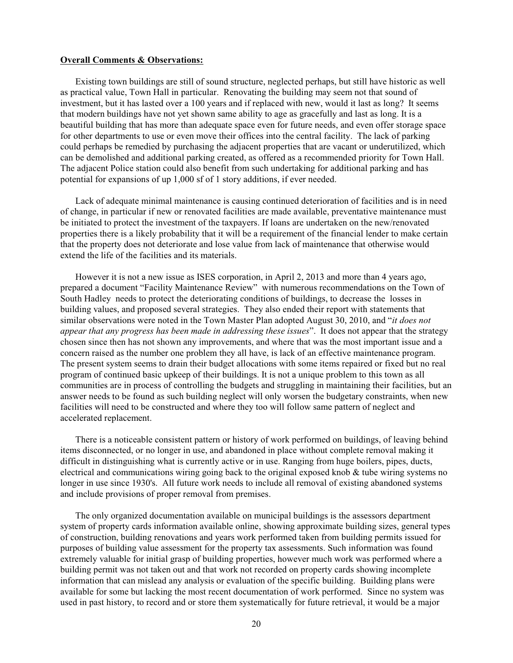#### **Overall Comments & Observations:**

Existing town buildings are still of sound structure, neglected perhaps, but still have historic as well as practical value, Town Hall in particular. Renovating the building may seem not that sound of investment, but it has lasted over a 100 years and if replaced with new, would it last as long? It seems that modern buildings have not yet shown same ability to age as gracefully and last as long. It is a beautiful building that has more than adequate space even for future needs, and even offer storage space for other departments to use or even move their offices into the central facility. The lack of parking could perhaps be remedied by purchasing the adjacent properties that are vacant or underutilized, which can be demolished and additional parking created, as offered as a recommended priority for Town Hall. The adjacent Police station could also benefit from such undertaking for additional parking and has potential for expansions of up 1,000 sf of 1 story additions, if ever needed.

Lack of adequate minimal maintenance is causing continued deterioration of facilities and is in need of change, in particular if new or renovated facilities are made available, preventative maintenance must be initiated to protect the investment of the taxpayers. If loans are undertaken on the new/renovated properties there is a likely probability that it will be a requirement of the financial lender to make certain that the property does not deteriorate and lose value from lack of maintenance that otherwise would extend the life of the facilities and its materials.

However it is not a new issue as ISES corporation, in April 2, 2013 and more than 4 years ago, prepared a document "Facility Maintenance Review" with numerous recommendations on the Town of South Hadley needs to protect the deteriorating conditions of buildings, to decrease the losses in building values, and proposed several strategies. They also ended their report with statements that similar observations were noted in the Town Master Plan adopted August 30, 2010, and "*it does not appear that any progress has been made in addressing these issues*". It does not appear that the strategy chosen since then has not shown any improvements, and where that was the most important issue and a concern raised as the number one problem they all have, is lack of an effective maintenance program. The present system seems to drain their budget allocations with some items repaired or fixed but no real program of continued basic upkeep of their buildings. It is not a unique problem to this town as all communities are in process of controlling the budgets and struggling in maintaining their facilities, but an answer needs to be found as such building neglect will only worsen the budgetary constraints, when new facilities will need to be constructed and where they too will follow same pattern of neglect and accelerated replacement.

There is a noticeable consistent pattern or history of work performed on buildings, of leaving behind items disconnected, or no longer in use, and abandoned in place without complete removal making it difficult in distinguishing what is currently active or in use. Ranging from huge boilers, pipes, ducts, electrical and communications wiring going back to the original exposed knob & tube wiring systems no longer in use since 1930's. All future work needs to include all removal of existing abandoned systems and include provisions of proper removal from premises.

The only organized documentation available on municipal buildings is the assessors department system of property cards information available online, showing approximate building sizes, general types of construction, building renovations and years work performed taken from building permits issued for purposes of building value assessment for the property tax assessments. Such information was found extremely valuable for initial grasp of building properties, however much work was performed where a building permit was not taken out and that work not recorded on property cards showing incomplete information that can mislead any analysis or evaluation of the specific building. Building plans were available for some but lacking the most recent documentation of work performed. Since no system was used in past history, to record and or store them systematically for future retrieval, it would be a major